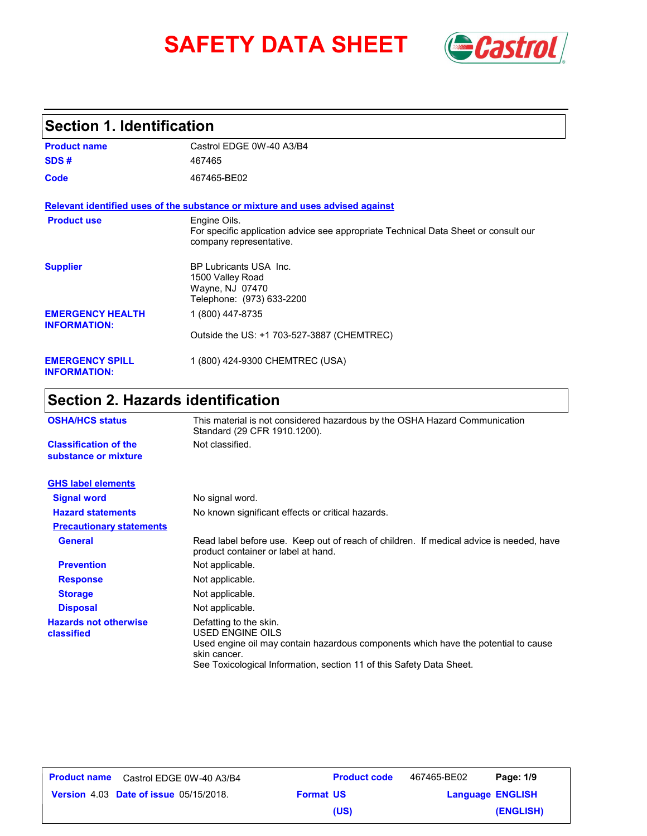# SAFETY DATA SHEET **Gastrol**



# **Section 1. Identification**

| <b>Product name</b>                            | Castrol EDGE 0W-40 A3/B4                                                                                                       |
|------------------------------------------------|--------------------------------------------------------------------------------------------------------------------------------|
| SDS#                                           | 467465                                                                                                                         |
| Code                                           | 467465-BE02                                                                                                                    |
|                                                | Relevant identified uses of the substance or mixture and uses advised against                                                  |
| <b>Product use</b>                             | Engine Oils.<br>For specific application advice see appropriate Technical Data Sheet or consult our<br>company representative. |
| <b>Supplier</b>                                | BP Lubricants USA Inc.<br>1500 Valley Road<br>Wayne, NJ 07470<br>Telephone: (973) 633-2200                                     |
| <b>EMERGENCY HEALTH</b><br><b>INFORMATION:</b> | 1 (800) 447-8735                                                                                                               |
|                                                | Outside the US: +1 703-527-3887 (CHEMTREC)                                                                                     |
| <b>EMERGENCY SPILL</b><br><b>INFORMATION:</b>  | 1 (800) 424-9300 CHEMTREC (USA)                                                                                                |

# **Section 2. Hazards identification**

| <b>OSHA/HCS status</b>                               | This material is not considered hazardous by the OSHA Hazard Communication<br>Standard (29 CFR 1910.1200).                                                                                                               |  |
|------------------------------------------------------|--------------------------------------------------------------------------------------------------------------------------------------------------------------------------------------------------------------------------|--|
| <b>Classification of the</b><br>substance or mixture | Not classified.                                                                                                                                                                                                          |  |
| <b>GHS label elements</b>                            |                                                                                                                                                                                                                          |  |
| <b>Signal word</b>                                   | No signal word.                                                                                                                                                                                                          |  |
| <b>Hazard statements</b>                             | No known significant effects or critical hazards.                                                                                                                                                                        |  |
| <b>Precautionary statements</b>                      |                                                                                                                                                                                                                          |  |
| <b>General</b>                                       | Read label before use. Keep out of reach of children. If medical advice is needed, have<br>product container or label at hand.                                                                                           |  |
| <b>Prevention</b>                                    | Not applicable.                                                                                                                                                                                                          |  |
| <b>Response</b>                                      | Not applicable.                                                                                                                                                                                                          |  |
| <b>Storage</b>                                       | Not applicable.                                                                                                                                                                                                          |  |
| <b>Disposal</b>                                      | Not applicable.                                                                                                                                                                                                          |  |
| <b>Hazards not otherwise</b><br>classified           | Defatting to the skin.<br>USED ENGINE OILS<br>Used engine oil may contain hazardous components which have the potential to cause<br>skin cancer.<br>See Toxicological Information, section 11 of this Safety Data Sheet. |  |

| Product name | Castrol EDGE 0W-40 A3/B4                      |                  | <b>Product code</b> | 467465-BE02             | Page: 1/9 |
|--------------|-----------------------------------------------|------------------|---------------------|-------------------------|-----------|
|              | <b>Version 4.03 Date of issue 05/15/2018.</b> | <b>Format US</b> |                     | <b>Language ENGLISH</b> |           |
|              |                                               |                  | (US)                |                         | (ENGLISH) |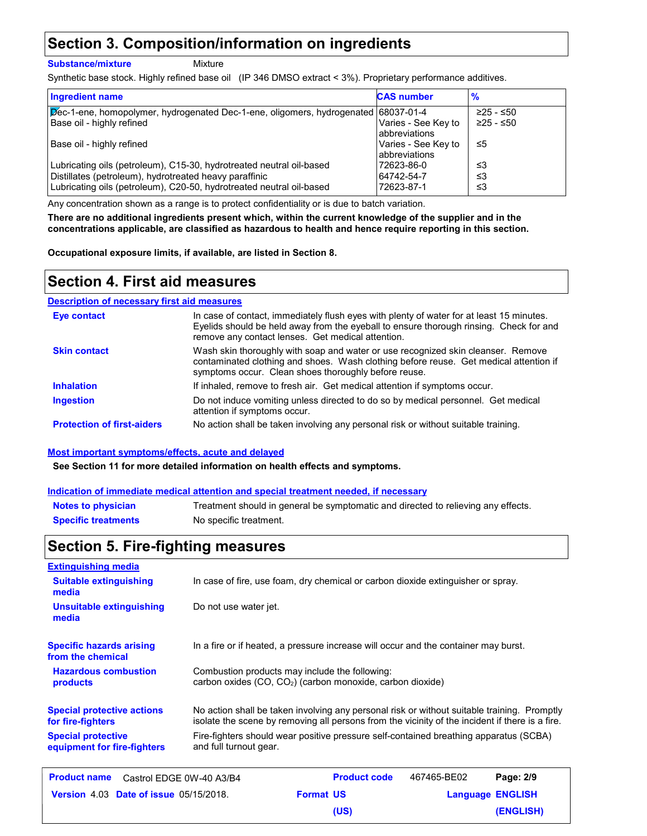### **Section 3. Composition/information on ingredients**

#### **Substance/mixture**

Mixture

Synthetic base stock. Highly refined base oil (IP 346 DMSO extract < 3%). Proprietary performance additives.

| <b>Ingredient name</b>                                                                                                         | <b>CAS number</b>                     | $\frac{9}{6}$ |
|--------------------------------------------------------------------------------------------------------------------------------|---------------------------------------|---------------|
| Dec-1-ene, homopolymer, hydrogenated Dec-1-ene, oligomers, hydrogenated 68037-01-4                                             |                                       | $≥25 - ≤50$   |
| Base oil - highly refined                                                                                                      | Varies - See Key to<br>labbreviations | ≥25 - ≤50     |
| Base oil - highly refined                                                                                                      | Varies - See Key to<br>labbreviations | ≤5            |
| Lubricating oils (petroleum), C15-30, hydrotreated neutral oil-based                                                           | 72623-86-0                            | ≤3            |
| Distillates (petroleum), hydrotreated heavy paraffinic<br>Lubricating oils (petroleum), C20-50, hydrotreated neutral oil-based | 64742-54-7<br>72623-87-1              | ≤3<br>≤3      |

Any concentration shown as a range is to protect confidentiality or is due to batch variation.

**There are no additional ingredients present which, within the current knowledge of the supplier and in the concentrations applicable, are classified as hazardous to health and hence require reporting in this section.**

**Occupational exposure limits, if available, are listed in Section 8.**

### **Section 4. First aid measures**

#### **Description of necessary first aid measures**

| <b>Eve contact</b>                | In case of contact, immediately flush eyes with plenty of water for at least 15 minutes.<br>Eyelids should be held away from the eyeball to ensure thorough rinsing. Check for and<br>remove any contact lenses. Get medical attention. |
|-----------------------------------|-----------------------------------------------------------------------------------------------------------------------------------------------------------------------------------------------------------------------------------------|
| <b>Skin contact</b>               | Wash skin thoroughly with soap and water or use recognized skin cleanser. Remove<br>contaminated clothing and shoes. Wash clothing before reuse. Get medical attention if<br>symptoms occur. Clean shoes thoroughly before reuse.       |
| <b>Inhalation</b>                 | If inhaled, remove to fresh air. Get medical attention if symptoms occur.                                                                                                                                                               |
| <b>Ingestion</b>                  | Do not induce vomiting unless directed to do so by medical personnel. Get medical<br>attention if symptoms occur.                                                                                                                       |
| <b>Protection of first-aiders</b> | No action shall be taken involving any personal risk or without suitable training.                                                                                                                                                      |

#### **Most important symptoms/effects, acute and delayed**

**See Section 11 for more detailed information on health effects and symptoms.**

#### **Indication of immediate medical attention and special treatment needed, if necessary**

| <b>Notes to physician</b>  | Treatment should in general be symptomatic and directed to relieving any effects. |
|----------------------------|-----------------------------------------------------------------------------------|
| <b>Specific treatments</b> | No specific treatment.                                                            |

# **Section 5. Fire-fighting measures**

| <b>Extinguishing media</b>                               |                          |                                                                                                                                                                                                |             |                         |
|----------------------------------------------------------|--------------------------|------------------------------------------------------------------------------------------------------------------------------------------------------------------------------------------------|-------------|-------------------------|
| <b>Suitable extinguishing</b><br>media                   |                          | In case of fire, use foam, dry chemical or carbon dioxide extinguisher or spray.                                                                                                               |             |                         |
| Unsuitable extinguishing<br>media                        | Do not use water jet.    |                                                                                                                                                                                                |             |                         |
| <b>Specific hazards arising</b><br>from the chemical     |                          | In a fire or if heated, a pressure increase will occur and the container may burst.                                                                                                            |             |                         |
| <b>Hazardous combustion</b><br>products                  |                          | Combustion products may include the following:<br>carbon oxides (CO, CO <sub>2</sub> ) (carbon monoxide, carbon dioxide)                                                                       |             |                         |
| <b>Special protective actions</b><br>for fire-fighters   |                          | No action shall be taken involving any personal risk or without suitable training. Promptly<br>isolate the scene by removing all persons from the vicinity of the incident if there is a fire. |             |                         |
| <b>Special protective</b><br>equipment for fire-fighters | and full turnout gear.   | Fire-fighters should wear positive pressure self-contained breathing apparatus (SCBA)                                                                                                          |             |                         |
| <b>Product name</b>                                      | Castrol EDGE 0W-40 A3/B4 | <b>Product code</b>                                                                                                                                                                            | 467465-BE02 | Page: 2/9               |
| Version 4.03 Date of issue 05/15/2018.                   |                          | <b>Format US</b>                                                                                                                                                                               |             | <b>Language ENGLISH</b> |

**(US)**

**(ENGLISH)**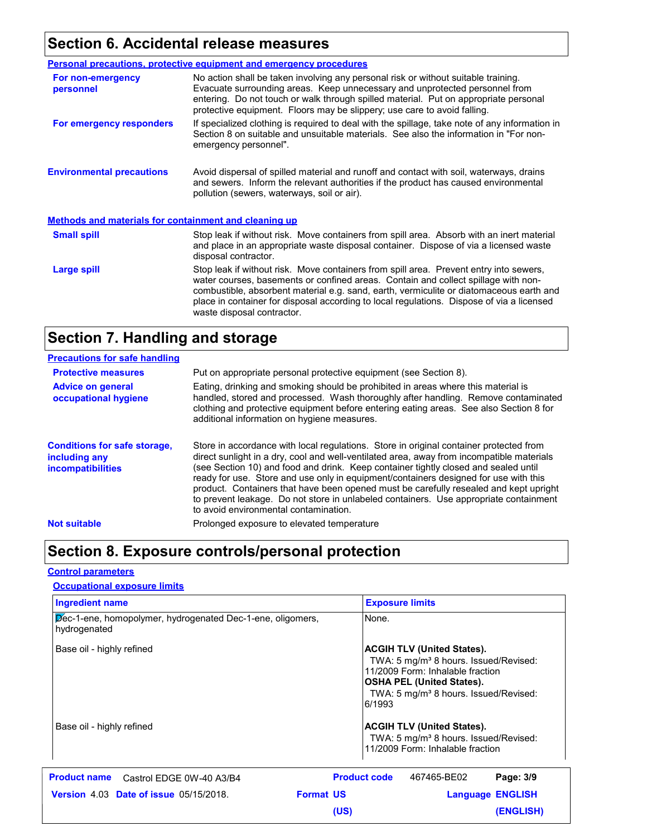# **Section 6. Accidental release measures**

|                                                              | Personal precautions, protective equipment and emergency procedures                                                                                                                                                                                                                                                                                                                                |
|--------------------------------------------------------------|----------------------------------------------------------------------------------------------------------------------------------------------------------------------------------------------------------------------------------------------------------------------------------------------------------------------------------------------------------------------------------------------------|
| For non-emergency<br>personnel                               | No action shall be taken involving any personal risk or without suitable training.<br>Evacuate surrounding areas. Keep unnecessary and unprotected personnel from<br>entering. Do not touch or walk through spilled material. Put on appropriate personal<br>protective equipment. Floors may be slippery; use care to avoid falling.                                                              |
| For emergency responders                                     | If specialized clothing is required to deal with the spillage, take note of any information in<br>Section 8 on suitable and unsuitable materials. See also the information in "For non-<br>emergency personnel".                                                                                                                                                                                   |
| <b>Environmental precautions</b>                             | Avoid dispersal of spilled material and runoff and contact with soil, waterways, drains<br>and sewers. Inform the relevant authorities if the product has caused environmental<br>pollution (sewers, waterways, soil or air).                                                                                                                                                                      |
| <b>Methods and materials for containment and cleaning up</b> |                                                                                                                                                                                                                                                                                                                                                                                                    |
| <b>Small spill</b>                                           | Stop leak if without risk. Move containers from spill area. Absorb with an inert material<br>and place in an appropriate waste disposal container. Dispose of via a licensed waste<br>disposal contractor.                                                                                                                                                                                         |
| Large spill                                                  | Stop leak if without risk. Move containers from spill area. Prevent entry into sewers,<br>water courses, basements or confined areas. Contain and collect spillage with non-<br>combustible, absorbent material e.g. sand, earth, vermiculite or diatomaceous earth and<br>place in container for disposal according to local regulations. Dispose of via a licensed<br>waste disposal contractor. |

# **Section 7. Handling and storage**

| <b>Precautions for safe handling</b>                                             |                                                                                                                                                                                                                                                                                                                                                                                                                                                                                                                                                                                               |
|----------------------------------------------------------------------------------|-----------------------------------------------------------------------------------------------------------------------------------------------------------------------------------------------------------------------------------------------------------------------------------------------------------------------------------------------------------------------------------------------------------------------------------------------------------------------------------------------------------------------------------------------------------------------------------------------|
| <b>Protective measures</b>                                                       | Put on appropriate personal protective equipment (see Section 8).                                                                                                                                                                                                                                                                                                                                                                                                                                                                                                                             |
| <b>Advice on general</b><br>occupational hygiene                                 | Eating, drinking and smoking should be prohibited in areas where this material is<br>handled, stored and processed. Wash thoroughly after handling. Remove contaminated<br>clothing and protective equipment before entering eating areas. See also Section 8 for<br>additional information on hygiene measures.                                                                                                                                                                                                                                                                              |
| <b>Conditions for safe storage,</b><br>including any<br><b>incompatibilities</b> | Store in accordance with local regulations. Store in original container protected from<br>direct sunlight in a dry, cool and well-ventilated area, away from incompatible materials<br>(see Section 10) and food and drink. Keep container tightly closed and sealed until<br>ready for use. Store and use only in equipment/containers designed for use with this<br>product. Containers that have been opened must be carefully resealed and kept upright<br>to prevent leakage. Do not store in unlabeled containers. Use appropriate containment<br>to avoid environmental contamination. |
| <b>Not suitable</b>                                                              | Prolonged exposure to elevated temperature                                                                                                                                                                                                                                                                                                                                                                                                                                                                                                                                                    |

# **Section 8. Exposure controls/personal protection**

### **Control parameters**

### **Occupational exposure limits**

| Ingredient name                                                            | <b>Exposure limits</b>                                                                                                                                                                                                        |
|----------------------------------------------------------------------------|-------------------------------------------------------------------------------------------------------------------------------------------------------------------------------------------------------------------------------|
| Dec-1-ene, homopolymer, hydrogenated Dec-1-ene, oligomers,<br>hydrogenated | None.                                                                                                                                                                                                                         |
| Base oil - highly refined                                                  | <b>ACGIH TLV (United States).</b><br>TWA: 5 mg/m <sup>3</sup> 8 hours. Issued/Revised:<br>11/2009 Form: Inhalable fraction<br><b>OSHA PEL (United States).</b><br>TWA: 5 mg/m <sup>3</sup> 8 hours. Issued/Revised:<br>6/1993 |
| Base oil - highly refined                                                  | <b>ACGIH TLV (United States).</b><br>TWA: 5 mg/m <sup>3</sup> 8 hours. Issued/Revised:<br>11/2009 Form: Inhalable fraction                                                                                                    |
| <b>Product name</b><br>Castrol EDGE 0W-40 A3/B4                            | <b>Product code</b><br>Page: 3/9<br>467465-BE02                                                                                                                                                                               |
| <b>Format US</b><br><b>Version 4.03 Date of issue 05/15/2018.</b>          | <b>Language ENGLISH</b>                                                                                                                                                                                                       |
|                                                                            | <b>(ENGLISH)</b><br>(US)                                                                                                                                                                                                      |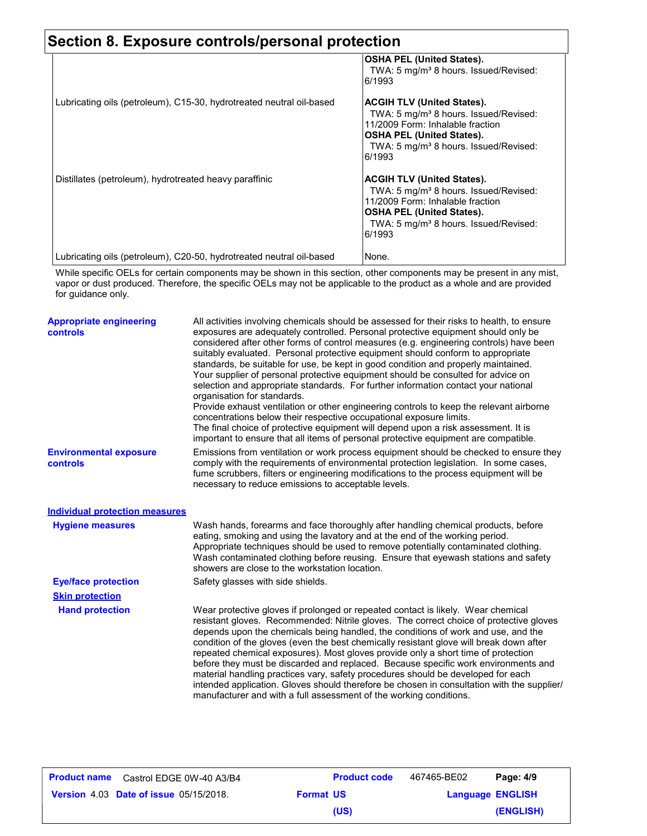### **Section 8. Exposure controls/personal protection OSHA PEL (United States).** TWA: 5 mg/m<sup>3</sup> 8 hours. Issued/Revised: 6/1993 Lubricating oils (petroleum), C15-30, hydrotreated neutral oil-based **ACGIH TLV (United States).** TWA: 5 mg/m<sup>3</sup> 8 hours. Issued/Revised: 11/2009 Form: Inhalable fraction **OSHA PEL (United States).** TWA: 5 mg/m<sup>3</sup> 8 hours. Issued/Revised:

|                                                                      | 6/1993                                                                                                                                                                                                                        |
|----------------------------------------------------------------------|-------------------------------------------------------------------------------------------------------------------------------------------------------------------------------------------------------------------------------|
| Distillates (petroleum), hydrotreated heavy paraffinic               | <b>ACGIH TLV (United States).</b><br>TWA: 5 mg/m <sup>3</sup> 8 hours. Issued/Revised:<br>11/2009 Form: Inhalable fraction<br><b>OSHA PEL (United States).</b><br>TWA: 5 mg/m <sup>3</sup> 8 hours. Issued/Revised:<br>6/1993 |
| Lubricating oils (petroleum), C20-50, hydrotreated neutral oil-based | None.                                                                                                                                                                                                                         |

While specific OELs for certain components may be shown in this section, other components may be present in any mist, vapor or dust produced. Therefore, the specific OELs may not be applicable to the product as a whole and are provided for guidance only.

| <b>Appropriate engineering</b><br><b>controls</b> | All activities involving chemicals should be assessed for their risks to health, to ensure<br>exposures are adequately controlled. Personal protective equipment should only be<br>considered after other forms of control measures (e.g. engineering controls) have been<br>suitably evaluated. Personal protective equipment should conform to appropriate<br>standards, be suitable for use, be kept in good condition and properly maintained.<br>Your supplier of personal protective equipment should be consulted for advice on<br>selection and appropriate standards. For further information contact your national<br>organisation for standards.<br>Provide exhaust ventilation or other engineering controls to keep the relevant airborne<br>concentrations below their respective occupational exposure limits.<br>The final choice of protective equipment will depend upon a risk assessment. It is<br>important to ensure that all items of personal protective equipment are compatible. |
|---------------------------------------------------|------------------------------------------------------------------------------------------------------------------------------------------------------------------------------------------------------------------------------------------------------------------------------------------------------------------------------------------------------------------------------------------------------------------------------------------------------------------------------------------------------------------------------------------------------------------------------------------------------------------------------------------------------------------------------------------------------------------------------------------------------------------------------------------------------------------------------------------------------------------------------------------------------------------------------------------------------------------------------------------------------------|
| <b>Environmental exposure</b><br><b>controls</b>  | Emissions from ventilation or work process equipment should be checked to ensure they<br>comply with the requirements of environmental protection legislation. In some cases,<br>fume scrubbers, filters or engineering modifications to the process equipment will be<br>necessary to reduce emissions to acceptable levels.                                                                                                                                                                                                                                                                                                                                                                                                                                                                                                                                                                                                                                                                              |
| <b>Individual protection measures</b>             |                                                                                                                                                                                                                                                                                                                                                                                                                                                                                                                                                                                                                                                                                                                                                                                                                                                                                                                                                                                                            |
| <b>Hygiene measures</b>                           | Wash hands, forearms and face thoroughly after handling chemical products, before<br>eating, smoking and using the lavatory and at the end of the working period.<br>Appropriate techniques should be used to remove potentially contaminated clothing.<br>Wash contaminated clothing before reusing. Ensure that eyewash stations and safety<br>showers are close to the workstation location.                                                                                                                                                                                                                                                                                                                                                                                                                                                                                                                                                                                                            |
| <b>Eye/face protection</b>                        | Safety glasses with side shields.                                                                                                                                                                                                                                                                                                                                                                                                                                                                                                                                                                                                                                                                                                                                                                                                                                                                                                                                                                          |
| <b>Skin protection</b>                            |                                                                                                                                                                                                                                                                                                                                                                                                                                                                                                                                                                                                                                                                                                                                                                                                                                                                                                                                                                                                            |
| <b>Hand protection</b>                            | Wear protective gloves if prolonged or repeated contact is likely. Wear chemical<br>resistant gloves. Recommended: Nitrile gloves. The correct choice of protective gloves<br>depends upon the chemicals being handled, the conditions of work and use, and the<br>condition of the gloves (even the best chemically resistant glove will break down after<br>repeated chemical exposures). Most gloves provide only a short time of protection<br>before they must be discarded and replaced. Because specific work environments and<br>material handling practices vary, safety procedures should be developed for each<br>intended application. Gloves should therefore be chosen in consultation with the supplier/<br>manufacturer and with a full assessment of the working conditions.                                                                                                                                                                                                              |

| <b>Product name</b> | Castrol EDGE 0W-40 A3/B4                      |                  | <b>Product code</b> | 467465-BE02             | Page: 4/9 |
|---------------------|-----------------------------------------------|------------------|---------------------|-------------------------|-----------|
|                     | <b>Version 4.03 Date of issue 05/15/2018.</b> | <b>Format US</b> |                     | <b>Language ENGLISH</b> |           |
|                     |                                               |                  | (US)                |                         | (ENGLISH) |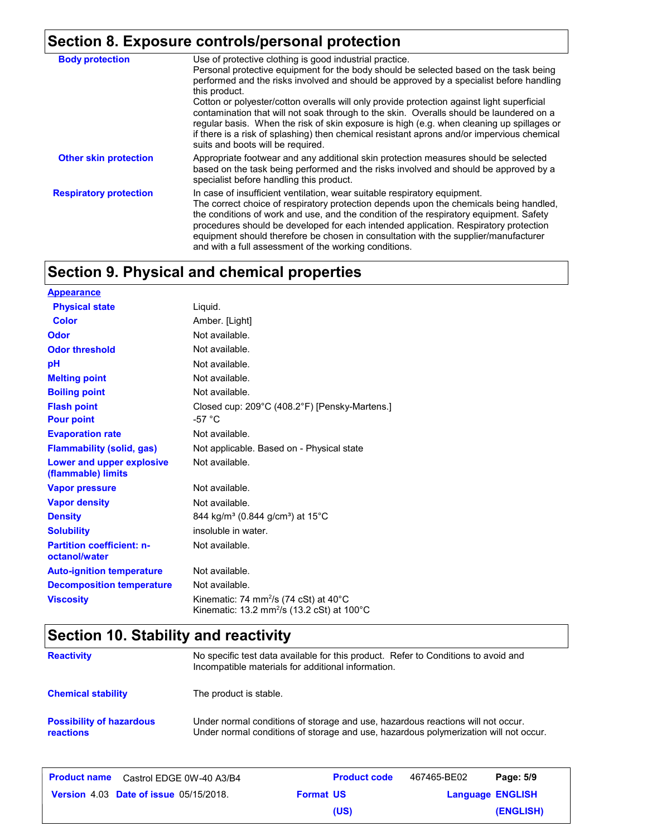# **Section 8. Exposure controls/personal protection**

| <b>Body protection</b>        | Use of protective clothing is good industrial practice.<br>Personal protective equipment for the body should be selected based on the task being                                                                                                                                                                                                                                                                                                                                                      |
|-------------------------------|-------------------------------------------------------------------------------------------------------------------------------------------------------------------------------------------------------------------------------------------------------------------------------------------------------------------------------------------------------------------------------------------------------------------------------------------------------------------------------------------------------|
|                               | performed and the risks involved and should be approved by a specialist before handling<br>this product.                                                                                                                                                                                                                                                                                                                                                                                              |
|                               | Cotton or polyester/cotton overalls will only provide protection against light superficial<br>contamination that will not soak through to the skin. Overalls should be laundered on a<br>regular basis. When the risk of skin exposure is high (e.g. when cleaning up spillages or<br>if there is a risk of splashing) then chemical resistant aprons and/or impervious chemical<br>suits and boots will be required.                                                                                 |
| <b>Other skin protection</b>  | Appropriate footwear and any additional skin protection measures should be selected<br>based on the task being performed and the risks involved and should be approved by a<br>specialist before handling this product.                                                                                                                                                                                                                                                                               |
| <b>Respiratory protection</b> | In case of insufficient ventilation, wear suitable respiratory equipment.<br>The correct choice of respiratory protection depends upon the chemicals being handled,<br>the conditions of work and use, and the condition of the respiratory equipment. Safety<br>procedures should be developed for each intended application. Respiratory protection<br>equipment should therefore be chosen in consultation with the supplier/manufacturer<br>and with a full assessment of the working conditions. |

# **Section 9. Physical and chemical properties**

| <b>Appearance</b>                                 |                                                                                                                       |
|---------------------------------------------------|-----------------------------------------------------------------------------------------------------------------------|
| <b>Physical state</b>                             | Liquid.                                                                                                               |
| <b>Color</b>                                      | Amber. [Light]                                                                                                        |
| Odor                                              | Not available.                                                                                                        |
| <b>Odor threshold</b>                             | Not available.                                                                                                        |
| pH                                                | Not available.                                                                                                        |
| <b>Melting point</b>                              | Not available.                                                                                                        |
| <b>Boiling point</b>                              | Not available.                                                                                                        |
| <b>Flash point</b><br><b>Pour point</b>           | Closed cup: 209°C (408.2°F) [Pensky-Martens.]<br>$-57 °C$                                                             |
| <b>Evaporation rate</b>                           | Not available.                                                                                                        |
| <b>Flammability (solid, gas)</b>                  | Not applicable. Based on - Physical state                                                                             |
| Lower and upper explosive<br>(flammable) limits   | Not available.                                                                                                        |
| <b>Vapor pressure</b>                             | Not available.                                                                                                        |
| <b>Vapor density</b>                              | Not available.                                                                                                        |
| <b>Density</b>                                    | 844 kg/m <sup>3</sup> (0.844 g/cm <sup>3</sup> ) at 15 <sup>°</sup> C                                                 |
| <b>Solubility</b>                                 | insoluble in water.                                                                                                   |
| <b>Partition coefficient: n-</b><br>octanol/water | Not available.                                                                                                        |
| <b>Auto-ignition temperature</b>                  | Not available.                                                                                                        |
| <b>Decomposition temperature</b>                  | Not available.                                                                                                        |
| <b>Viscosity</b>                                  | Kinematic: 74 mm <sup>2</sup> /s (74 cSt) at $40^{\circ}$ C<br>Kinematic: 13.2 mm <sup>2</sup> /s (13.2 cSt) at 100°C |

# **Section 10. Stability and reactivity**

| <b>Reactivity</b>                            | No specific test data available for this product. Refer to Conditions to avoid and<br>Incompatible materials for additional information.                                |
|----------------------------------------------|-------------------------------------------------------------------------------------------------------------------------------------------------------------------------|
| <b>Chemical stability</b>                    | The product is stable.                                                                                                                                                  |
| <b>Possibility of hazardous</b><br>reactions | Under normal conditions of storage and use, hazardous reactions will not occur.<br>Under normal conditions of storage and use, hazardous polymerization will not occur. |

| <b>Product name</b> Castrol EDGE 0W-40 A3/B4  | <b>Product code</b> | 467465-BE02 | Page: 5/9               |
|-----------------------------------------------|---------------------|-------------|-------------------------|
| <b>Version 4.03 Date of issue 05/15/2018.</b> | <b>Format US</b>    |             | <b>Language ENGLISH</b> |
|                                               | (US)                |             | (ENGLISH)               |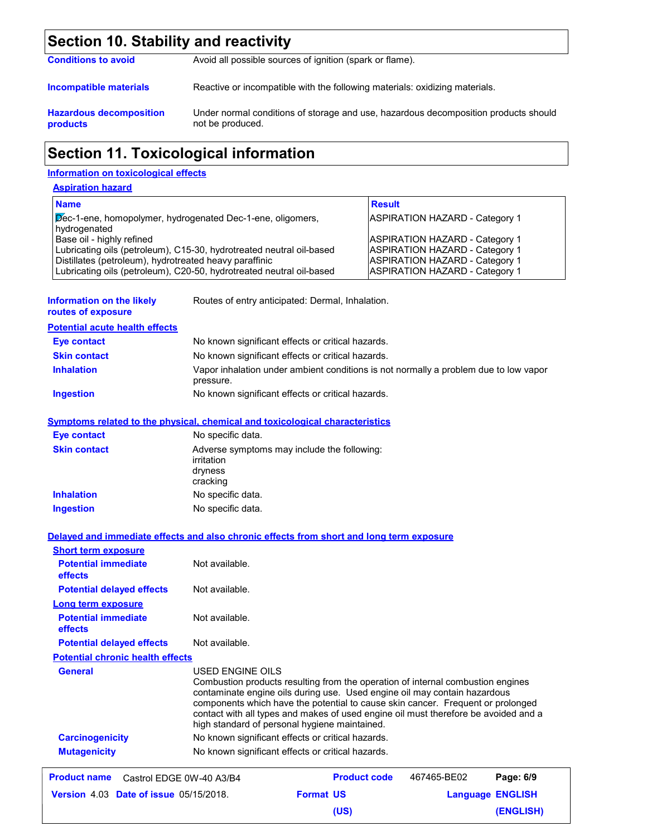# **Section 10. Stability and reactivity**

| <b>Conditions to avoid</b>                        | Avoid all possible sources of ignition (spark or flame).                                                |  |  |
|---------------------------------------------------|---------------------------------------------------------------------------------------------------------|--|--|
| Incompatible materials                            | Reactive or incompatible with the following materials: oxidizing materials.                             |  |  |
| <b>Hazardous decomposition</b><br><b>products</b> | Under normal conditions of storage and use, hazardous decomposition products should<br>not be produced. |  |  |

# **Section 11. Toxicological information**

### **Information on toxicological effects**

| <b>Aspiration hazard</b>                                                                                                                                                                                                            |                                                                                                                                                           |
|-------------------------------------------------------------------------------------------------------------------------------------------------------------------------------------------------------------------------------------|-----------------------------------------------------------------------------------------------------------------------------------------------------------|
| <b>Name</b>                                                                                                                                                                                                                         | <b>Result</b>                                                                                                                                             |
| Dec-1-ene, homopolymer, hydrogenated Dec-1-ene, oligomers,<br>hydrogenated                                                                                                                                                          | <b>ASPIRATION HAZARD - Category 1</b>                                                                                                                     |
| Base oil - highly refined<br>Lubricating oils (petroleum), C15-30, hydrotreated neutral oil-based<br>Distillates (petroleum), hydrotreated heavy paraffinic<br>Lubricating oils (petroleum), C20-50, hydrotreated neutral oil-based | <b>ASPIRATION HAZARD - Category 1</b><br><b>ASPIRATION HAZARD - Category 1</b><br><b>ASPIRATION HAZARD - Category 1</b><br>ASPIRATION HAZARD - Category 1 |

| Information on the likely<br>routes of exposure                                                                        |                                   | Routes of entry anticipated: Dermal, Inhalation.                                                                                                                                                                                                                                                                                                                                        |             |                         |
|------------------------------------------------------------------------------------------------------------------------|-----------------------------------|-----------------------------------------------------------------------------------------------------------------------------------------------------------------------------------------------------------------------------------------------------------------------------------------------------------------------------------------------------------------------------------------|-------------|-------------------------|
| <b>Potential acute health effects</b>                                                                                  |                                   |                                                                                                                                                                                                                                                                                                                                                                                         |             |                         |
| <b>Eye contact</b>                                                                                                     |                                   | No known significant effects or critical hazards.                                                                                                                                                                                                                                                                                                                                       |             |                         |
| <b>Skin contact</b>                                                                                                    |                                   | No known significant effects or critical hazards.                                                                                                                                                                                                                                                                                                                                       |             |                         |
| <b>Inhalation</b>                                                                                                      | pressure.                         | Vapor inhalation under ambient conditions is not normally a problem due to low vapor                                                                                                                                                                                                                                                                                                    |             |                         |
| Ingestion                                                                                                              |                                   | No known significant effects or critical hazards.                                                                                                                                                                                                                                                                                                                                       |             |                         |
| <b>Symptoms related to the physical, chemical and toxicological characteristics</b>                                    |                                   |                                                                                                                                                                                                                                                                                                                                                                                         |             |                         |
| <b>Eye contact</b>                                                                                                     | No specific data.                 |                                                                                                                                                                                                                                                                                                                                                                                         |             |                         |
| <b>Skin contact</b>                                                                                                    | irritation<br>dryness<br>cracking | Adverse symptoms may include the following:                                                                                                                                                                                                                                                                                                                                             |             |                         |
| <b>Inhalation</b>                                                                                                      | No specific data.                 |                                                                                                                                                                                                                                                                                                                                                                                         |             |                         |
| <b>Ingestion</b>                                                                                                       | No specific data.                 |                                                                                                                                                                                                                                                                                                                                                                                         |             |                         |
| Delayed and immediate effects and also chronic effects from short and long term exposure<br><b>Short term exposure</b> |                                   |                                                                                                                                                                                                                                                                                                                                                                                         |             |                         |
| <b>Potential immediate</b><br>effects                                                                                  | Not available.                    |                                                                                                                                                                                                                                                                                                                                                                                         |             |                         |
| <b>Potential delayed effects</b>                                                                                       | Not available.                    |                                                                                                                                                                                                                                                                                                                                                                                         |             |                         |
| <b>Long term exposure</b>                                                                                              |                                   |                                                                                                                                                                                                                                                                                                                                                                                         |             |                         |
| <b>Potential immediate</b><br>effects                                                                                  | Not available.                    |                                                                                                                                                                                                                                                                                                                                                                                         |             |                         |
| <b>Potential delayed effects</b>                                                                                       | Not available.                    |                                                                                                                                                                                                                                                                                                                                                                                         |             |                         |
| <b>Potential chronic health effects</b>                                                                                |                                   |                                                                                                                                                                                                                                                                                                                                                                                         |             |                         |
| <b>General</b>                                                                                                         | USED ENGINE OILS                  | Combustion products resulting from the operation of internal combustion engines<br>contaminate engine oils during use. Used engine oil may contain hazardous<br>components which have the potential to cause skin cancer. Frequent or prolonged<br>contact with all types and makes of used engine oil must therefore be avoided and a<br>high standard of personal hygiene maintained. |             |                         |
| <b>Carcinogenicity</b>                                                                                                 |                                   | No known significant effects or critical hazards.                                                                                                                                                                                                                                                                                                                                       |             |                         |
| <b>Mutagenicity</b>                                                                                                    |                                   | No known significant effects or critical hazards.                                                                                                                                                                                                                                                                                                                                       |             |                         |
| <b>Product name</b>                                                                                                    | Castrol EDGE 0W-40 A3/B4          | <b>Product code</b>                                                                                                                                                                                                                                                                                                                                                                     | 467465-BE02 | Page: 6/9               |
| <b>Version 4.03 Date of issue 05/15/2018.</b>                                                                          |                                   | <b>Format US</b>                                                                                                                                                                                                                                                                                                                                                                        |             | <b>Language ENGLISH</b> |
|                                                                                                                        |                                   | (US)                                                                                                                                                                                                                                                                                                                                                                                    |             | (ENGLISH)               |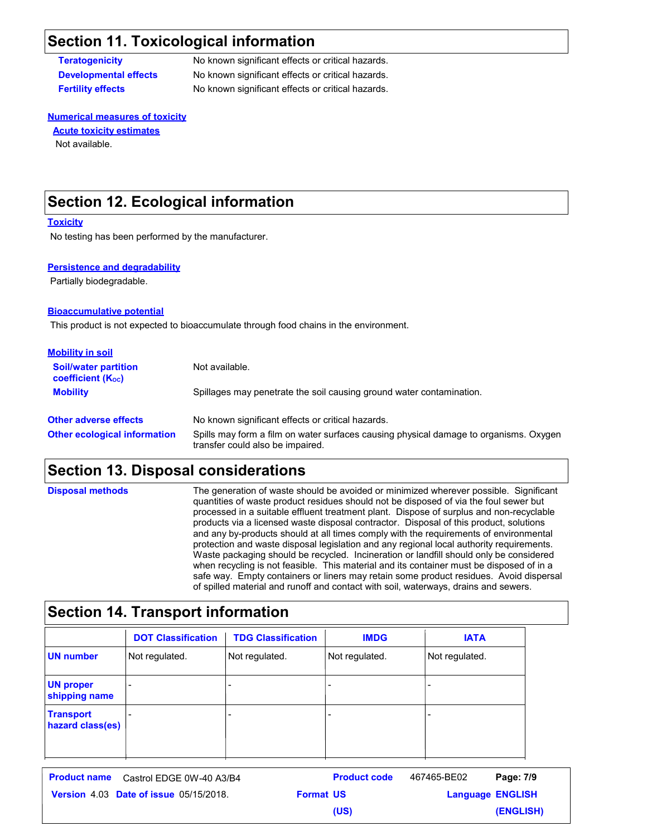### **Section 11. Toxicological information**

**Teratogenicity** No known significant effects or critical hazards. **Developmental effects** No known significant effects or critical hazards. **Fertility effects** No known significant effects or critical hazards.

#### **Numerical measures of toxicity** Not available. **Acute toxicity estimates**

### **Section 12. Ecological information**

#### **Toxicity**

No testing has been performed by the manufacturer.

#### **Persistence and degradability**

Partially biodegradable.

#### **Bioaccumulative potential**

This product is not expected to bioaccumulate through food chains in the environment.

| <b>Mobility in soil</b>                                 |                                                                                                                           |
|---------------------------------------------------------|---------------------------------------------------------------------------------------------------------------------------|
| <b>Soil/water partition</b><br><b>coefficient (Koc)</b> | Not available.                                                                                                            |
| <b>Mobility</b>                                         | Spillages may penetrate the soil causing ground water contamination.                                                      |
| <b>Other adverse effects</b>                            | No known significant effects or critical hazards.                                                                         |
| <b>Other ecological information</b>                     | Spills may form a film on water surfaces causing physical damage to organisms. Oxygen<br>transfer could also be impaired. |

### **Section 13. Disposal considerations**

| <b>Disposal methods</b> | The generation of waste should be avoided or minimized wherever possible. Significant<br>quantities of waste product residues should not be disposed of via the foul sewer but<br>processed in a suitable effluent treatment plant. Dispose of surplus and non-recyclable<br>products via a licensed waste disposal contractor. Disposal of this product, solutions<br>and any by-products should at all times comply with the requirements of environmental<br>protection and waste disposal legislation and any regional local authority requirements.<br>Waste packaging should be recycled. Incineration or landfill should only be considered<br>when recycling is not feasible. This material and its container must be disposed of in a<br>safe way. Empty containers or liners may retain some product residues. Avoid dispersal |
|-------------------------|------------------------------------------------------------------------------------------------------------------------------------------------------------------------------------------------------------------------------------------------------------------------------------------------------------------------------------------------------------------------------------------------------------------------------------------------------------------------------------------------------------------------------------------------------------------------------------------------------------------------------------------------------------------------------------------------------------------------------------------------------------------------------------------------------------------------------------------|
|                         | of spilled material and runoff and contact with soil, waterways, drains and sewers.                                                                                                                                                                                                                                                                                                                                                                                                                                                                                                                                                                                                                                                                                                                                                      |

# **Section 14. Transport information**

|                                      | <b>DOT Classification</b> | <b>TDG Classification</b> | <b>IMDG</b>    | <b>IATA</b>    |
|--------------------------------------|---------------------------|---------------------------|----------------|----------------|
| UN number                            | Not regulated.            | Not regulated.            | Not regulated. | Not regulated. |
| <b>UN proper</b><br>shipping name    | $\overline{\phantom{0}}$  | -                         | -              |                |
| <b>Transport</b><br>hazard class(es) |                           |                           | -              |                |

| <b>Product name</b> Castrol EDGE 0W-40 A3/B4  |                  | <b>Product code</b> | 467465-BE02             | Page: 7/9 |
|-----------------------------------------------|------------------|---------------------|-------------------------|-----------|
| <b>Version 4.03 Date of issue 05/15/2018.</b> | <b>Format US</b> |                     | <b>Language ENGLISH</b> |           |
|                                               |                  | (US)                |                         | (ENGLISH) |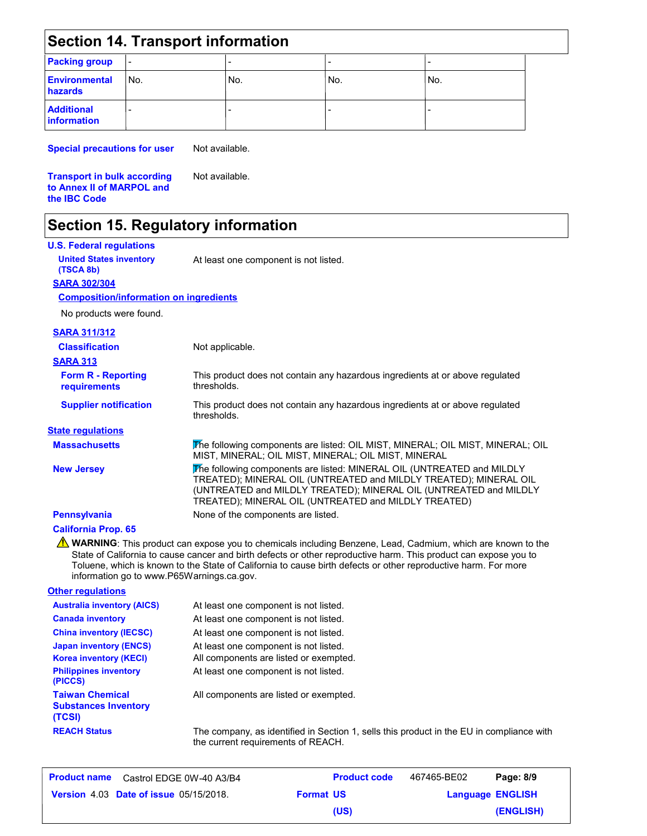### **Section 14. Transport information**

| <b>Packing group</b>                    | $\overline{\phantom{a}}$ |     | -   | -   |
|-----------------------------------------|--------------------------|-----|-----|-----|
| <b>Environmental</b><br>hazards         | No.                      | No. | No. | No. |
| <b>Additional</b><br><b>information</b> |                          |     |     |     |

**Special precautions for user**

Not available.

Not available.

**Transport in bulk according to Annex II of MARPOL and the IBC Code**

### **Section 15. Regulatory information**

| <b>U.S. Federal regulations</b>               |                                                                                                                                                                                                                                                                          |
|-----------------------------------------------|--------------------------------------------------------------------------------------------------------------------------------------------------------------------------------------------------------------------------------------------------------------------------|
| <b>United States inventory</b><br>(TSCA 8b)   | At least one component is not listed.                                                                                                                                                                                                                                    |
| <b>SARA 302/304</b>                           |                                                                                                                                                                                                                                                                          |
| <b>Composition/information on ingredients</b> |                                                                                                                                                                                                                                                                          |
| No products were found.                       |                                                                                                                                                                                                                                                                          |
| <b>SARA 311/312</b>                           |                                                                                                                                                                                                                                                                          |
| <b>Classification</b>                         | Not applicable.                                                                                                                                                                                                                                                          |
| <b>SARA 313</b>                               |                                                                                                                                                                                                                                                                          |
| <b>Form R - Reporting</b><br>requirements     | This product does not contain any hazardous ingredients at or above regulated<br>thresholds.                                                                                                                                                                             |
| <b>Supplier notification</b>                  | This product does not contain any hazardous ingredients at or above regulated<br>thresholds.                                                                                                                                                                             |
| <b>State regulations</b>                      |                                                                                                                                                                                                                                                                          |
| <b>Massachusetts</b>                          | The following components are listed: OIL MIST, MINERAL; OIL MIST, MINERAL; OIL<br>MIST, MINERAL; OIL MIST, MINERAL; OIL MIST, MINERAL                                                                                                                                    |
| <b>New Jersey</b>                             | The following components are listed: MINERAL OIL (UNTREATED and MILDLY<br>TREATED); MINERAL OIL (UNTREATED and MILDLY TREATED); MINERAL OIL<br>(UNTREATED and MILDLY TREATED); MINERAL OIL (UNTREATED and MILDLY<br>TREATED); MINERAL OIL (UNTREATED and MILDLY TREATED) |

**Pennsylvania** None of the components are listed.

### **California Prop. 65**

**A** WARNING: This product can expose you to chemicals including Benzene, Lead, Cadmium, which are known to the State of California to cause cancer and birth defects or other reproductive harm. This product can expose you to Toluene, which is known to the State of California to cause birth defects or other reproductive harm. For more information go to www.P65Warnings.ca.gov.

| <b>Other regulations</b>                                        |                                                                                                                                |
|-----------------------------------------------------------------|--------------------------------------------------------------------------------------------------------------------------------|
| <b>Australia inventory (AICS)</b>                               | At least one component is not listed.                                                                                          |
| <b>Canada inventory</b>                                         | At least one component is not listed.                                                                                          |
| <b>China inventory (IECSC)</b>                                  | At least one component is not listed.                                                                                          |
| <b>Japan inventory (ENCS)</b><br><b>Korea inventory (KECI)</b>  | At least one component is not listed.<br>All components are listed or exempted.                                                |
| <b>Philippines inventory</b><br>(PICCS)                         | At least one component is not listed.                                                                                          |
| <b>Taiwan Chemical</b><br><b>Substances Inventory</b><br>(TCSI) | All components are listed or exempted.                                                                                         |
| <b>REACH Status</b>                                             | The company, as identified in Section 1, sells this product in the EU in compliance with<br>the current requirements of REACH. |

|                                               | <b>Product name</b> Castrol EDGE 0W-40 A3/B4 |                  | <b>Product code</b> | 467465-BE02 | Page: 8/9               |
|-----------------------------------------------|----------------------------------------------|------------------|---------------------|-------------|-------------------------|
| <b>Version 4.03 Date of issue 05/15/2018.</b> |                                              | <b>Format US</b> |                     |             | <b>Language ENGLISH</b> |
|                                               |                                              |                  | (US)                |             | (ENGLISH)               |